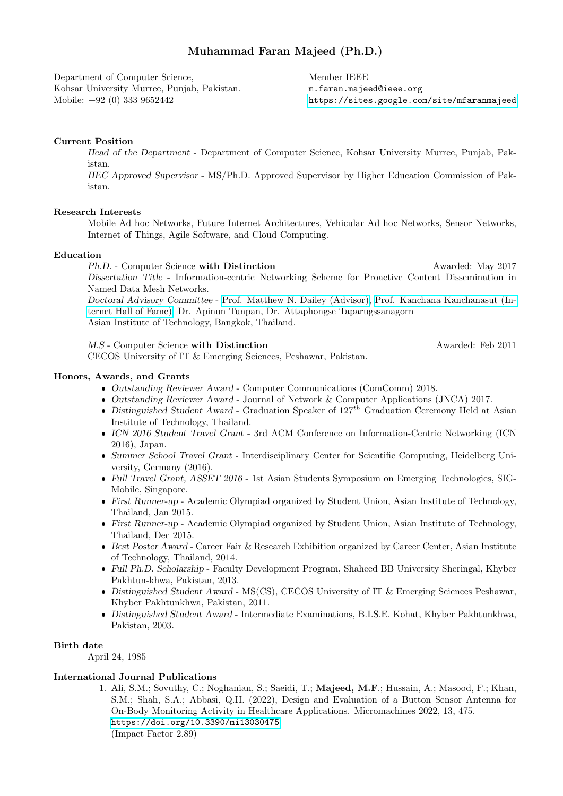# Muhammad Faran Majeed (Ph.D.)

Department of Computer Science, Kohsar University Murree, Punjab, Pakistan. Mobile: +92 (0) 333 9652442

Member IEEE m.faran.majeed@ieee.org <https://sites.google.com/site/mfaranmajeed>

## Current Position

Head of the Department - Department of Computer Science, Kohsar University Murree, Punjab, Pakistan.

HEC Approved Supervisor - MS/Ph.D. Approved Supervisor by Higher Education Commission of Pakistan.

## Research Interests

Mobile Ad hoc Networks, Future Internet Architectures, Vehicular Ad hoc Networks, Sensor Networks, Internet of Things, Agile Software, and Cloud Computing.

### Education

Ph.D. - Computer Science with Distinction Awarded: May 2017 Dissertation Title - Information-centric Networking Scheme for Proactive Content Dissemination in Named Data Mesh Networks.

Doctoral Advisory Committee - [Prof. Matthew N. Dailey \(Advisor\),](https://ait-vision.org/mdailey/) [Prof. Kanchana Kanchanasut \(In](https://www.internethalloffame.org/inductees/kanchana-kanchanasut)[ternet Hall of Fame\),](https://www.internethalloffame.org/inductees/kanchana-kanchanasut) Dr. Apinun Tunpan, Dr. Attaphongse Taparugssanagorn Asian Institute of Technology, Bangkok, Thailand.

M.S - Computer Science with Distinction Awarded: Feb 2011

CECOS University of IT & Emerging Sciences, Peshawar, Pakistan.

#### Honors, Awards, and Grants

- Outstanding Reviewer Award Computer Communications (ComComm) 2018.
- Outstanding Reviewer Award Journal of Network & Computer Applications (JNCA) 2017.
- $\bullet$  Distinguished Student Award Graduation Speaker of 127<sup>th</sup> Graduation Ceremony Held at Asian Institute of Technology, Thailand.
- ICN 2016 Student Travel Grant 3rd ACM Conference on Information-Centric Networking (ICN 2016), Japan.
- Summer School Travel Grant Interdisciplinary Center for Scientific Computing, Heidelberg University, Germany (2016).
- Full Travel Grant, ASSET 2016 1st Asian Students Symposium on Emerging Technologies, SIG-Mobile, Singapore.
- First Runner-up Academic Olympiad organized by Student Union, Asian Institute of Technology, Thailand, Jan 2015.
- First Runner-up Academic Olympiad organized by Student Union, Asian Institute of Technology, Thailand, Dec 2015.
- **Best Poster Award Career Fair & Research Exhibition organized by Career Center, Asian Institute** of Technology, Thailand, 2014.
- Full Ph.D. Scholarship Faculty Development Program, Shaheed BB University Sheringal, Khyber Pakhtun-khwa, Pakistan, 2013.
- Distinguished Student Award MS(CS), CECOS University of IT & Emerging Sciences Peshawar, Khyber Pakhtunkhwa, Pakistan, 2011.
- Distinguished Student Award Intermediate Examinations, B.I.S.E. Kohat, Khyber Pakhtunkhwa, Pakistan, 2003.

## Birth date

April 24, 1985

#### International Journal Publications

1. Ali, S.M.; Sovuthy, C.; Noghanian, S.; Saeidi, T.; Majeed, M.F.; Hussain, A.; Masood, F.; Khan, S.M.; Shah, S.A.; Abbasi, Q.H. (2022), Design and Evaluation of a Button Sensor Antenna for On-Body Monitoring Activity in Healthcare Applications. Micromachines 2022, 13, 475. <https://doi.org/10.3390/mi13030475> (Impact Factor 2.89)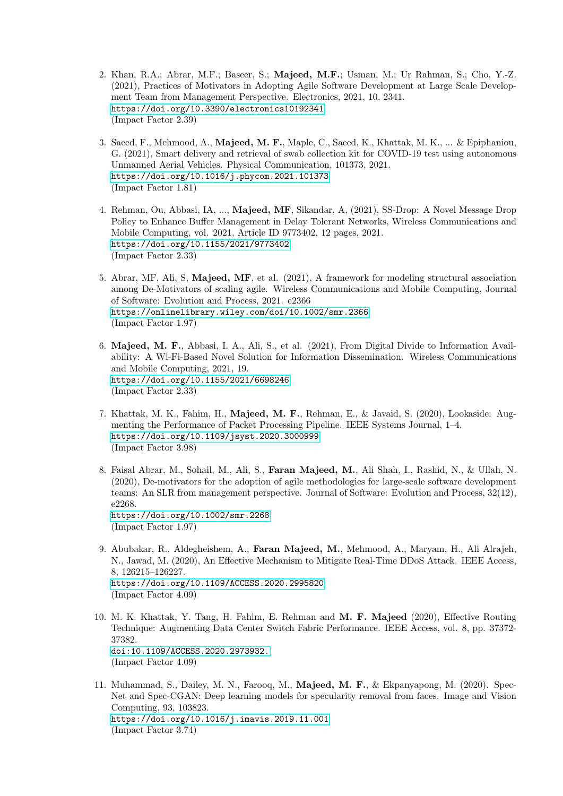- 2. Khan, R.A.; Abrar, M.F.; Baseer, S.; Majeed, M.F.; Usman, M.; Ur Rahman, S.; Cho, Y.-Z. (2021), Practices of Motivators in Adopting Agile Software Development at Large Scale Development Team from Management Perspective. Electronics, 2021, 10, 2341. <https://doi.org/10.3390/electronics10192341> (Impact Factor 2.39)
- 3. Saeed, F., Mehmood, A., Majeed, M. F., Maple, C., Saeed, K., Khattak, M. K., ... & Epiphaniou, G. (2021), Smart delivery and retrieval of swab collection kit for COVID-19 test using autonomous Unmanned Aerial Vehicles. Physical Communication, 101373, 2021. <https://doi.org/10.1016/j.phycom.2021.101373> (Impact Factor 1.81)
- 4. Rehman, Ou, Abbasi, IA, ..., Majeed, MF, Sikandar, A, (2021), SS-Drop: A Novel Message Drop Policy to Enhance Buffer Management in Delay Tolerant Networks, Wireless Communications and Mobile Computing, vol. 2021, Article ID 9773402, 12 pages, 2021. <https://doi.org/10.1155/2021/9773402> (Impact Factor 2.33)
- 5. Abrar, MF, Ali, S, Majeed, MF, et al. (2021), A framework for modeling structural association among De-Motivators of scaling agile. Wireless Communications and Mobile Computing, Journal of Software: Evolution and Process, 2021. e2366 <https://onlinelibrary.wiley.com/doi/10.1002/smr.2366> (Impact Factor 1.97)
- 6. Majeed, M. F., Abbasi, I. A., Ali, S., et al. (2021), From Digital Divide to Information Availability: A Wi-Fi-Based Novel Solution for Information Dissemination. Wireless Communications and Mobile Computing, 2021, 19. <https://doi.org/10.1155/2021/6698246> (Impact Factor 2.33)
- 7. Khattak, M. K., Fahim, H., Majeed, M. F., Rehman, E., & Javaid, S. (2020), Lookaside: Augmenting the Performance of Packet Processing Pipeline. IEEE Systems Journal, 1–4. <https://doi.org/10.1109/jsyst.2020.3000999> (Impact Factor 3.98)
- 8. Faisal Abrar, M., Sohail, M., Ali, S., Faran Majeed, M., Ali Shah, I., Rashid, N., & Ullah, N. (2020), De-motivators for the adoption of agile methodologies for large-scale software development teams: An SLR from management perspective. Journal of Software: Evolution and Process, 32(12), e2268. <https://doi.org/10.1002/smr.2268>

(Impact Factor 1.97)

- 9. Abubakar, R., Aldegheishem, A., Faran Majeed, M., Mehmood, A., Maryam, H., Ali Alrajeh, N., Jawad, M. (2020), An Effective Mechanism to Mitigate Real-Time DDoS Attack. IEEE Access, 8, 126215–126227. <https://doi.org/10.1109/ACCESS.2020.2995820> (Impact Factor 4.09)
- 10. M. K. Khattak, Y. Tang, H. Fahim, E. Rehman and M. F. Majeed (2020), Effective Routing Technique: Augmenting Data Center Switch Fabric Performance. IEEE Access, vol. 8, pp. 37372- 37382. [doi:10.1109/ACCESS.2020.2973932.](doi: 10.1109/ACCESS.2020.2973932.) (Impact Factor 4.09)
- 11. Muhammad, S., Dailey, M. N., Farooq, M., Majeed, M. F., & Ekpanyapong, M. (2020). Spec-Net and Spec-CGAN: Deep learning models for specularity removal from faces. Image and Vision Computing, 93, 103823. <https://doi.org/10.1016/j.imavis.2019.11.001> (Impact Factor 3.74)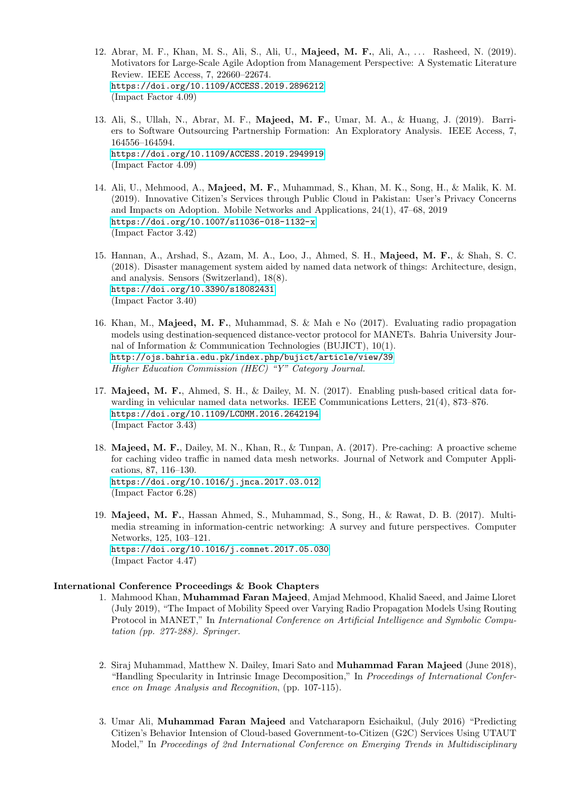- 12. Abrar, M. F., Khan, M. S., Ali, S., Ali, U., **Majeed, M. F.**, Ali, A., ... Rasheed, N. (2019). Motivators for Large-Scale Agile Adoption from Management Perspective: A Systematic Literature Review. IEEE Access, 7, 22660–22674. <https://doi.org/10.1109/ACCESS.2019.2896212> (Impact Factor 4.09)
- 13. Ali, S., Ullah, N., Abrar, M. F., Majeed, M. F., Umar, M. A., & Huang, J. (2019). Barriers to Software Outsourcing Partnership Formation: An Exploratory Analysis. IEEE Access, 7, 164556–164594. <https://doi.org/10.1109/ACCESS.2019.2949919> (Impact Factor 4.09)
- 14. Ali, U., Mehmood, A., Majeed, M. F., Muhammad, S., Khan, M. K., Song, H., & Malik, K. M. (2019). Innovative Citizen's Services through Public Cloud in Pakistan: User's Privacy Concerns and Impacts on Adoption. Mobile Networks and Applications, 24(1), 47–68, 2019 <https://doi.org/10.1007/s11036-018-1132-x> (Impact Factor 3.42)
- 15. Hannan, A., Arshad, S., Azam, M. A., Loo, J., Ahmed, S. H., Majeed, M. F., & Shah, S. C. (2018). Disaster management system aided by named data network of things: Architecture, design, and analysis. Sensors (Switzerland), 18(8). <https://doi.org/10.3390/s18082431> (Impact Factor 3.40)
- 16. Khan, M., Majeed, M. F., Muhammad, S. & Mah e No (2017). Evaluating radio propagation models using destination-sequenced distance-vector protocol for MANETs. Bahria University Journal of Information & Communication Technologies (BUJICT), 10(1). <http://ojs.bahria.edu.pk/index.php/bujict/article/view/39> Higher Education Commission (HEC) "Y" Category Journal.
- 17. Majeed, M. F., Ahmed, S. H., & Dailey, M. N. (2017). Enabling push-based critical data forwarding in vehicular named data networks. IEEE Communications Letters, 21(4), 873–876. <https://doi.org/10.1109/LCOMM.2016.2642194> (Impact Factor 3.43)
- 18. Majeed, M. F., Dailey, M. N., Khan, R., & Tunpan, A. (2017). Pre-caching: A proactive scheme for caching video traffic in named data mesh networks. Journal of Network and Computer Applications, 87, 116–130. <https://doi.org/10.1016/j.jnca.2017.03.012> (Impact Factor 6.28)
- 19. Majeed, M. F., Hassan Ahmed, S., Muhammad, S., Song, H., & Rawat, D. B. (2017). Multimedia streaming in information-centric networking: A survey and future perspectives. Computer Networks, 125, 103–121. <https://doi.org/10.1016/j.comnet.2017.05.030> (Impact Factor 4.47)

#### International Conference Proceedings & Book Chapters

- 1. Mahmood Khan, Muhammad Faran Majeed, Amjad Mehmood, Khalid Saeed, and Jaime Lloret (July 2019), "The Impact of Mobility Speed over Varying Radio Propagation Models Using Routing Protocol in MANET," In International Conference on Artificial Intelligence and Symbolic Computation (pp. 277-288). Springer.
- 2. Siraj Muhammad, Matthew N. Dailey, Imari Sato and Muhammad Faran Majeed (June 2018), "Handling Specularity in Intrinsic Image Decomposition," In Proceedings of International Conference on Image Analysis and Recognition, (pp. 107-115).
- 3. Umar Ali, Muhammad Faran Majeed and Vatcharaporn Esichaikul, (July 2016) "Predicting Citizen's Behavior Intension of Cloud-based Government-to-Citizen (G2C) Services Using UTAUT Model," In Proceedings of 2nd International Conference on Emerging Trends in Multidisciplinary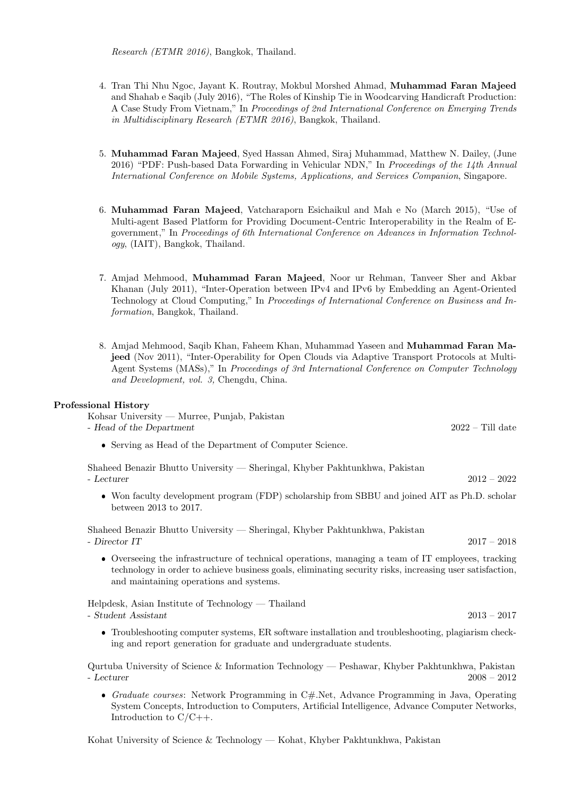Research (ETMR 2016), Bangkok, Thailand.

- 4. Tran Thi Nhu Ngoc, Jayant K. Routray, Mokbul Morshed Ahmad, Muhammad Faran Majeed and Shahab e Saqib (July 2016), "The Roles of Kinship Tie in Woodcarving Handicraft Production: A Case Study From Vietnam," In Proceedings of 2nd International Conference on Emerging Trends in Multidisciplinary Research (ETMR 2016), Bangkok, Thailand.
- 5. Muhammad Faran Majeed, Syed Hassan Ahmed, Siraj Muhammad, Matthew N. Dailey, (June 2016) "PDF: Push-based Data Forwarding in Vehicular NDN," In Proceedings of the 14th Annual International Conference on Mobile Systems, Applications, and Services Companion, Singapore.
- 6. Muhammad Faran Majeed, Vatcharaporn Esichaikul and Mah e No (March 2015), "Use of Multi-agent Based Platform for Providing Document-Centric Interoperability in the Realm of Egovernment," In Proceedings of 6th International Conference on Advances in Information Technology, (IAIT), Bangkok, Thailand.
- 7. Amjad Mehmood, Muhammad Faran Majeed, Noor ur Rehman, Tanveer Sher and Akbar Khanan (July 2011), "Inter-Operation between IPv4 and IPv6 by Embedding an Agent-Oriented Technology at Cloud Computing," In Proceedings of International Conference on Business and Information, Bangkok, Thailand.
- 8. Amjad Mehmood, Saqib Khan, Faheem Khan, Muhammad Yaseen and Muhammad Faran Majeed (Nov 2011), "Inter-Operability for Open Clouds via Adaptive Transport Protocols at Multi-Agent Systems (MASs)," In Proceedings of 3rd International Conference on Computer Technology and Development, vol. 3, Chengdu, China.

## Professional History

Kohsar University — Murree, Punjab, Pakistan

- Head of the Department 2022 – Till date

Serving as Head of the Department of Computer Science.

Shaheed Benazir Bhutto University — Sheringal, Khyber Pakhtunkhwa, Pakistan - Lecturer 2012 – 2022

 Won faculty development program (FDP) scholarship from SBBU and joined AIT as Ph.D. scholar between 2013 to 2017.

Shaheed Benazir Bhutto University — Sheringal, Khyber Pakhtunkhwa, Pakistan  $-$  Director IT 2018

 Overseeing the infrastructure of technical operations, managing a team of IT employees, tracking technology in order to achieve business goals, eliminating security risks, increasing user satisfaction, and maintaining operations and systems.

Helpdesk, Asian Institute of Technology — Thailand - Student Assistant 2013 – 2017

 Troubleshooting computer systems, ER software installation and troubleshooting, plagiarism checking and report generation for graduate and undergraduate students.

Qurtuba University of Science & Information Technology — Peshawar, Khyber Pakhtunkhwa, Pakistan - Lecturer 2008 – 2012

Graduate courses: Network Programming in C#.Net, Advance Programming in Java, Operating System Concepts, Introduction to Computers, Artificial Intelligence, Advance Computer Networks, Introduction to  $C/C++$ .

Kohat University of Science & Technology — Kohat, Khyber Pakhtunkhwa, Pakistan